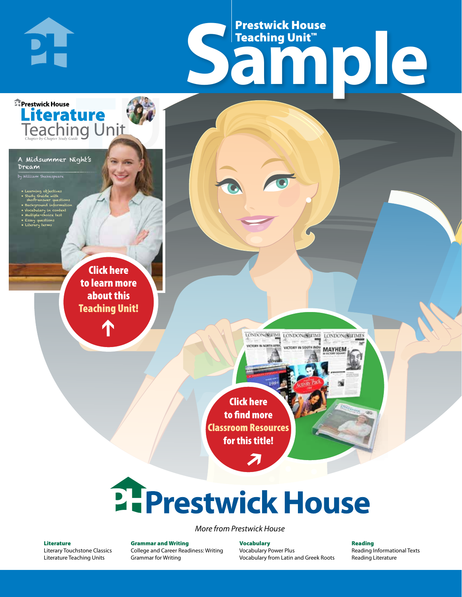# Frestwick House<br>
Sample **Prestwick House**<br>Teaching Unit<sup>\*\*</sup> Teaching Unit™

LONDON-SCITME LONDON/SCITME LONDON/SCITMES **UNTERVIEW ON CITY** 

**MAYHEM** 

A Midsummer Night's Dream .<br>illiam Shakespeare

**DI-**

**E** Prestwick House

**Teaching Unit** 

Literature

**A Tale of Two Cities**

• Learning objectives • Study Guide with short-answer questions • Background information

• Vocabulary in context • Multiple-choice test

CHARLES DICKENS

• Essay questions • Literary terms

> r e o r d e r n o . x x x x x x Click here to learn more about this [Teaching Unit!](https://www.prestwickhouse.com/pdf/id-200906/Midsummer_Nights_Dream_A_-_Downloadable_Teaching_Unit)

> > $\mathbf{T}$

1

Click here to find more [Classroom Resources](http://teaching-english.prestwickhouse.com/search#w=a%20midsummer%20night%27s%20dream)  for this title!

 $\overline{\boldsymbol{\lambda}}$ 

# **2. Prestwick House**

*More from Prestwick House*

#### Literature

[Literary Touchstone Classics](https://www.prestwickhouse.com/literary-touchstone-classics) [Literature Teaching Units](https://www.prestwickhouse.com/teaching-units)

Grammar and Writing [College and Career Readiness: Writing](https://www.prestwickhouse.com/college-and-career-readiness-writing) [Grammar for Writing](https://www.prestwickhouse.com/book/id-302639/Grammar_for_Writing_-_30_Books_and_Teachers_Edition)

Vocabulary [Vocabulary Power Plus](https://www.prestwickhouse.com/vocabulary-power-plus-for-college-and-career-readiness) [Vocabulary from Latin and Greek Roots](https://www.prestwickhouse.com/vocabulary-from-latin-and-greek-roots) Reading

[Reading Informational Texts](https://www.prestwickhouse.com/reading-informational-texts) [Reading Literature](https://www.prestwickhouse.com/reading-literature)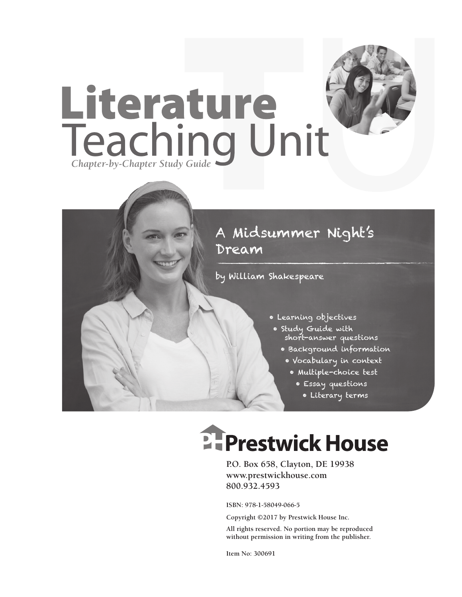

### A Midsummer Night's Dream

by William Shakespeare

- Learning objectives
- Study Guide with short-answer questions
	- Background information
	- Vocabulary in context
		- Multiple-choice test
			- Essay questions
				- Literary terms

# **Ellergetwick House**

**P.O. Box 658, Clayton, DE 19938 www.prestwickhouse.com 800.932.4593**

**ISBN: 978-1-58049-066-5**

**Copyright ©2017 by Prestwick House Inc.**

**All rights reserved. No portion may be reproduced without permission in writing from the publisher.** 

**Item No: 300691**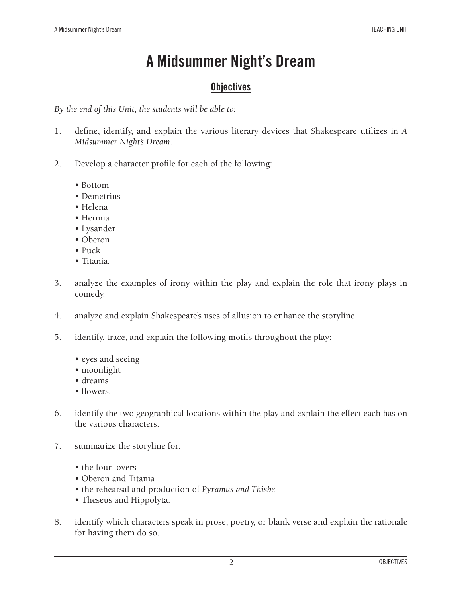### **A Midsummer Night's Dream**

### **Objectives**

*By the end of this Unit, the students will be able to:*

- 1. define, identify, and explain the various literary devices that Shakespeare utilizes in *A Midsummer Night's Dream.*
- 2. Develop a character profile for each of the following:
	- Bottom
	- Demetrius
	- Helena
	- Hermia
	- Lysander
	- Oberon
	- Puck
	- Titania.
- 3. analyze the examples of irony within the play and explain the role that irony plays in comedy.
- 4. analyze and explain Shakespeare's uses of allusion to enhance the storyline.
- 5. identify, trace, and explain the following motifs throughout the play:
	- eyes and seeing
	- moonlight
	- dreams
	- flowers.
- 6. identify the two geographical locations within the play and explain the effect each has on the various characters.
- 7. summarize the storyline for:
	- the four lovers
	- Oberon and Titania
	- the rehearsal and production of *Pyramus and Thisbe*
	- Theseus and Hippolyta.
- 8. identify which characters speak in prose, poetry, or blank verse and explain the rationale for having them do so.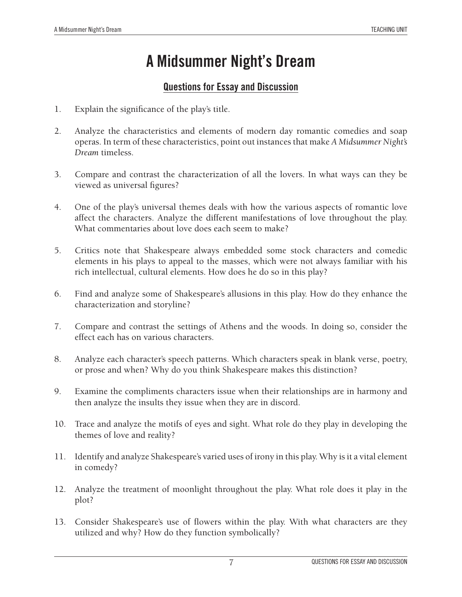### **A Midsummer Night's Dream**

### **Questions for Essay and Discussion**

- 1. Explain the significance of the play's title.
- 2. Analyze the characteristics and elements of modern day romantic comedies and soap operas. In term of these characteristics, point out instances that make *A Midsummer Night's Dream* timeless.
- 3. Compare and contrast the characterization of all the lovers. In what ways can they be viewed as universal figures?
- 4. One of the play's universal themes deals with how the various aspects of romantic love affect the characters. Analyze the different manifestations of love throughout the play. What commentaries about love does each seem to make?
- 5. Critics note that Shakespeare always embedded some stock characters and comedic elements in his plays to appeal to the masses, which were not always familiar with his rich intellectual, cultural elements. How does he do so in this play?
- 6. Find and analyze some of Shakespeare's allusions in this play. How do they enhance the characterization and storyline?
- 7. Compare and contrast the settings of Athens and the woods. In doing so, consider the effect each has on various characters.
- 8. Analyze each character's speech patterns. Which characters speak in blank verse, poetry, or prose and when? Why do you think Shakespeare makes this distinction?
- 9. Examine the compliments characters issue when their relationships are in harmony and then analyze the insults they issue when they are in discord.
- 10. Trace and analyze the motifs of eyes and sight. What role do they play in developing the themes of love and reality?
- 11. Identify and analyze Shakespeare's varied uses of irony in this play. Why is it a vital element in comedy?
- 12. Analyze the treatment of moonlight throughout the play. What role does it play in the plot?
- 13. Consider Shakespeare's use of flowers within the play. With what characters are they utilized and why? How do they function symbolically?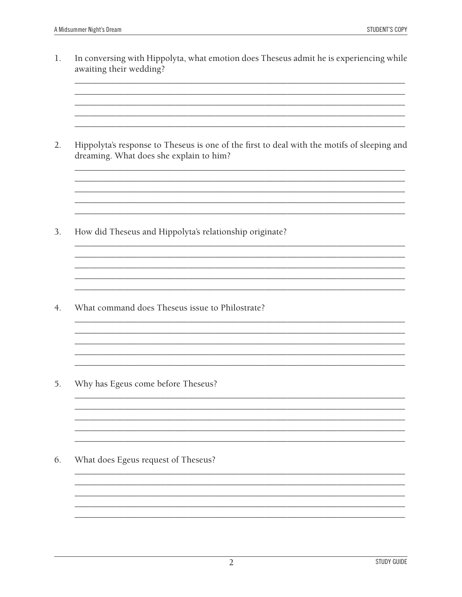1. In conversing with Hippolyta, what emotion does Theseus admit he is experiencing while awaiting their wedding?

<u> 1989 - Johann Stoff, deutscher Stoffen und der Stoffen und der Stoffen und der Stoffen und der Stoffen und de</u>

 $2.$ Hippolyta's response to Theseus is one of the first to deal with the motifs of sleeping and dreaming. What does she explain to him?

> <u> 1989 - Johann Stoff, amerikansk politiker (d. 1989)</u>

<u> 1989 - Johann Stoff, deutscher Stoff, der Stoff, der Stoff, der Stoff, der Stoff, der Stoff, der Stoff, der S</u>

3. How did Theseus and Hippolyta's relationship originate?

What command does Theseus issue to Philostrate? 4.

5. Why has Egeus come before Theseus?

6. What does Egeus request of Theseus?

<u> 1980 - Johann Barn, amerikan bernama di sebagai bernama di sebagai bernama di sebagai bernama di sebagai ber</u>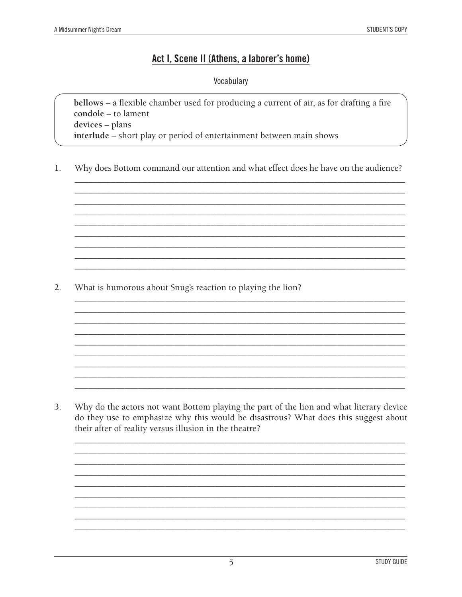#### Act I, Scene II (Athens, a laborer's home)

Vocabulary

bellows - a flexible chamber used for producing a current of air, as for drafting a fire condole - to lament devices - plans interlude - short play or period of entertainment between main shows

Why does Bottom command our attention and what effect does he have on the audience?  $1.$ 

 $2.$ What is humorous about Snug's reaction to playing the lion?

Why do the actors not want Bottom playing the part of the lion and what literary device 3. do they use to emphasize why this would be disastrous? What does this suggest about their after of reality versus illusion in the theatre?